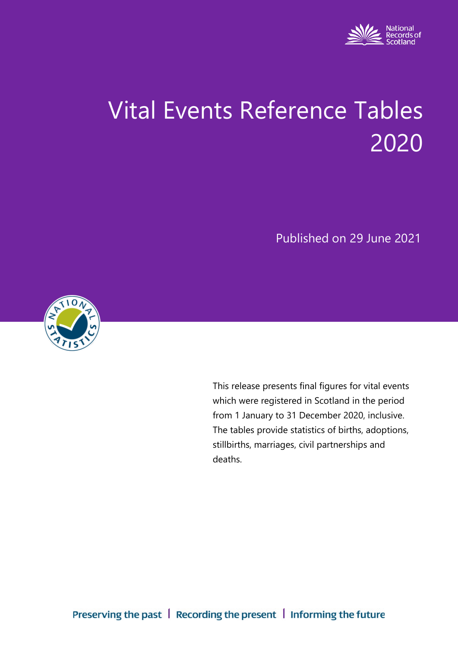

# Vital Events Reference Tables 2020

Published on 29 June 2021



This release presents final figures for vital events which were registered in Scotland in the period from 1 January to 31 December 2020, inclusive. The tables provide statistics of births, adoptions, stillbirths, marriages, civil partnerships and deaths.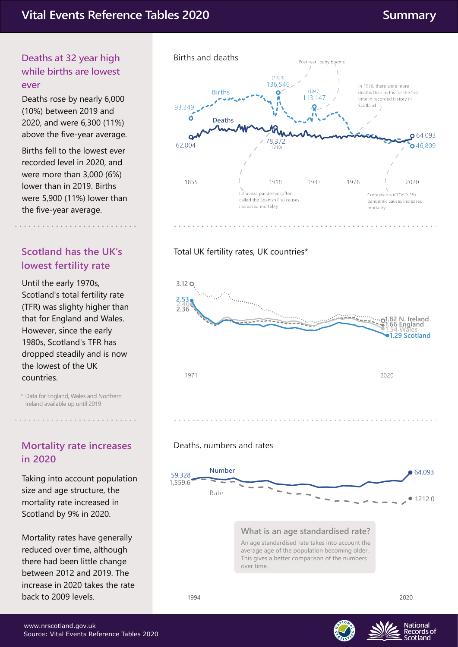#### (10%) between 2019 and 2020, and were 6,300 (11%) above the five-year average.

**Deaths at 32 year high while births are lowest** 

Deaths rose by nearly 6,000

**ever**

Births fell to the lowest ever recorded level in 2020, and were more than 3,000 (6%) lower than in 2019. Births were 5,900 (11%) lower than the five-year average. .

# **Scotland has the UK's lowest fertility rate**

Until the early 1970s, Scotland's total fertility rate (TFR) was slighty higher than that for England and Wales. However, since the early 1980s, Scotland's TFR has dropped steadily and is now the lowest of the UK countries.

Data for England, Wales and Northern \* Ireland available up until 2019

## **Mortality rate increases in 2020**

Taking into account population size and age structure, the mortality rate increased in Scotland by 9% in 2020.

Mortality rates have generally reduced over time, although there had been little change between 2012 and 2019. The increase in 2020 takes the rate back to 2009 levels.



#### Total UK fertility rates, UK countries\*







**National** Records of cotland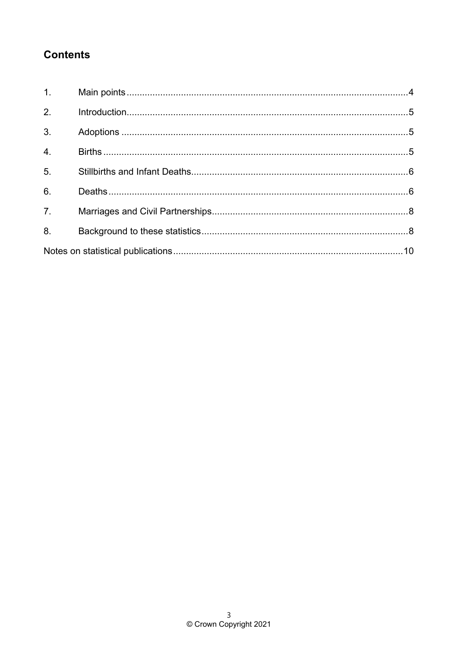# **Contents**

| 1.               |  |  |
|------------------|--|--|
| 2 <sub>1</sub>   |  |  |
| $\overline{3}$ . |  |  |
| $\overline{4}$ . |  |  |
| 5 <sub>1</sub>   |  |  |
| 6.               |  |  |
| $\overline{7}$ . |  |  |
| 8.               |  |  |
|                  |  |  |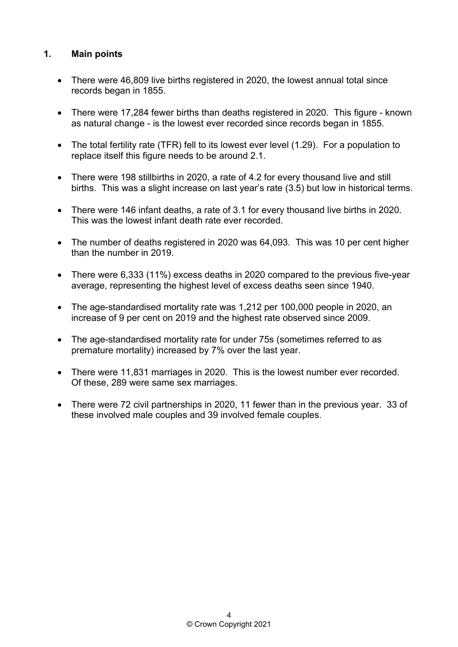#### <span id="page-3-0"></span>**1. Main points**

- There were 46,809 live births registered in 2020, the lowest annual total since records began in 1855.
- There were 17,284 fewer births than deaths registered in 2020. This figure known as natural change - is the lowest ever recorded since records began in 1855.
- The total fertility rate (TFR) fell to its lowest ever level (1.29). For a population to replace itself this figure needs to be around 2.1.
- There were 198 stillbirths in 2020, a rate of 4.2 for every thousand live and still births. This was a slight increase on last year's rate (3.5) but low in historical terms.
- There were 146 infant deaths, a rate of 3.1 for every thousand live births in 2020. This was the lowest infant death rate ever recorded.
- The number of deaths registered in 2020 was 64,093. This was 10 per cent higher than the number in 2019.
- average, representing the highest level of excess deaths seen since 1940. • There were 6,333 (11%) excess deaths in 2020 compared to the previous five-year
- The age-standardised mortality rate was 1,212 per 100,000 people in 2020, an increase of 9 per cent on 2019 and the highest rate observed since 2009.
- The age-standardised mortality rate for under 75s (sometimes referred to as premature mortality) increased by 7% over the last year.
- There were 11,831 marriages in 2020. This is the lowest number ever recorded. Of these, 289 were same sex marriages.
- There were 72 civil partnerships in 2020, 11 fewer than in the previous year. 33 of these involved male couples and 39 involved female couples.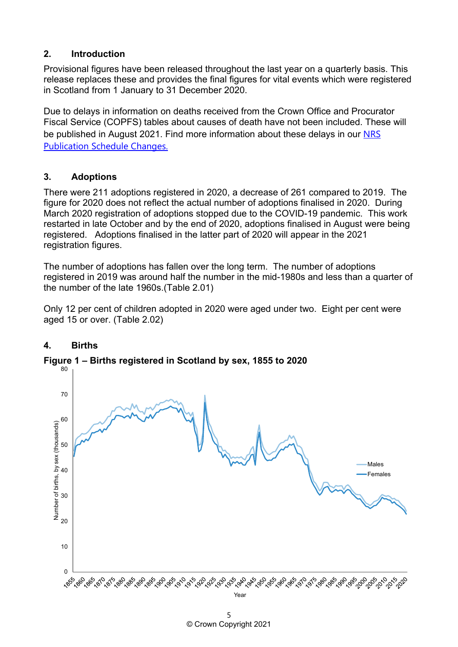#### <span id="page-4-0"></span>**2. Introduction**

Provisional figures have been released throughout the last year on a quarterly basis. This release replaces these and provides the final figures for vital events which were registered in Scotland from 1 January to 31 December 2020.

Due to delays in information on deaths received from the Crown Office and Procurator Fiscal Service (COPFS) tables about causes of death have not been included. These will be published in August 2021. Find more information about these delays in our [NRS](https://www.nrscotland.gov.uk/statistics-and-data/future-publications/nrs-publication-schedule-changes)  [Publication Schedule Changes.](https://www.nrscotland.gov.uk/statistics-and-data/future-publications/nrs-publication-schedule-changes)

#### <span id="page-4-1"></span>**3. Adoptions**

There were 211 adoptions registered in 2020, a decrease of 261 compared to 2019. The figure for 2020 does not reflect the actual number of adoptions finalised in 2020. During March 2020 registration of adoptions stopped due to the COVID-19 pandemic. This work restarted in late October and by the end of 2020, adoptions finalised in August were being registered. Adoptions finalised in the latter part of 2020 will appear in the 2021 registration figures.

The number of adoptions has fallen over the long term. The number of adoptions registered in 2019 was around half the number in the mid-1980s and less than a quarter of the number of the late 1960s.(Table 2.01)

Only 12 per cent of children adopted in 2020 were aged under two. Eight per cent were aged 15 or over. (Table 2.02)



### <span id="page-4-2"></span>**4. Births**

**Figure 1 – Births registered in Scotland by sex, 1855 to 2020**

<sup>5</sup>  © Crown Copyright 2021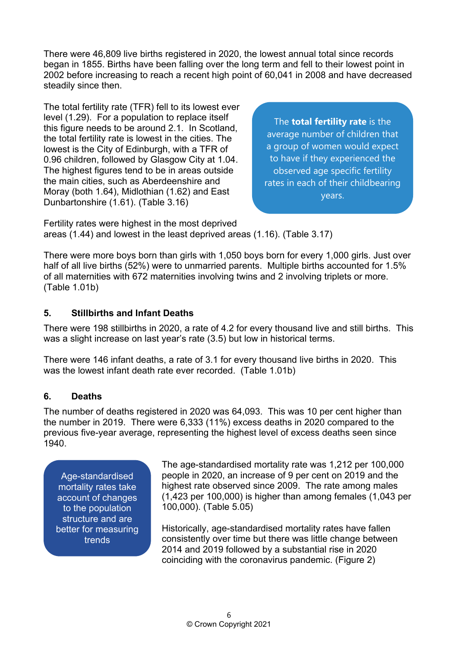There were 46,809 live births registered in 2020, the lowest annual total since records began in 1855. Births have been falling over the long term and fell to their lowest point in 2002 before increasing to reach a recent high point of 60,041 in 2008 and have decreased steadily since then.

The total fertility rate (TFR) fell to its lowest ever level (1.29). For a population to replace itself this figure needs to be around 2.1. In Scotland, the total fertility rate is lowest in the cities. The lowest is the City of Edinburgh, with a TFR of 0.96 children, followed by Glasgow City at 1.04. The highest figures tend to be in areas outside the main cities, such as Aberdeenshire and Moray (both 1.64), Midlothian (1.62) and East Dunbartonshire (1.61). (Table 3.16)

The **total fertility rate** is the average number of children that a group of women would expect to have if they experienced the observed age specific fertility rates in each of their childbearing years.

Fertility rates were highest in the most deprived areas (1.44) and lowest in the least deprived areas (1.16). (Table 3.17)

There were more boys born than girls with 1,050 boys born for every 1,000 girls. Just over half of all live births (52%) were to unmarried parents. Multiple births accounted for 1.5% of all maternities with 672 maternities involving twins and 2 involving triplets or more. (Table 1.01b)

#### <span id="page-5-0"></span>**5. Stillbirths and Infant Deaths**

There were 198 stillbirths in 2020, a rate of 4.2 for every thousand live and still births. This was a slight increase on last year's rate (3.5) but low in historical terms.

There were 146 infant deaths, a rate of 3.1 for every thousand live births in 2020. This was the lowest infant death rate ever recorded. (Table 1.01b)

#### <span id="page-5-1"></span>**6. Deaths**

The number of deaths registered in 2020 was 64,093. This was 10 per cent higher than the number in 2019. There were 6,333 (11%) excess deaths in 2020 compared to the previous five-year average, representing the highest level of excess deaths seen since 1940.

Age-standardised mortality rates take account of changes to the population structure and are better for measuring trends

The age-standardised mortality rate was 1,212 per 100,000 people in 2020, an increase of 9 per cent on 2019 and the highest rate observed since 2009. The rate among males (1,423 per 100,000) is higher than among females (1,043 per 100,000). (Table 5.05)

Historically, age-standardised mortality rates have fallen consistently over time but there was little change between 2014 and 2019 followed by a substantial rise in 2020 coinciding with the coronavirus pandemic. (Figure 2)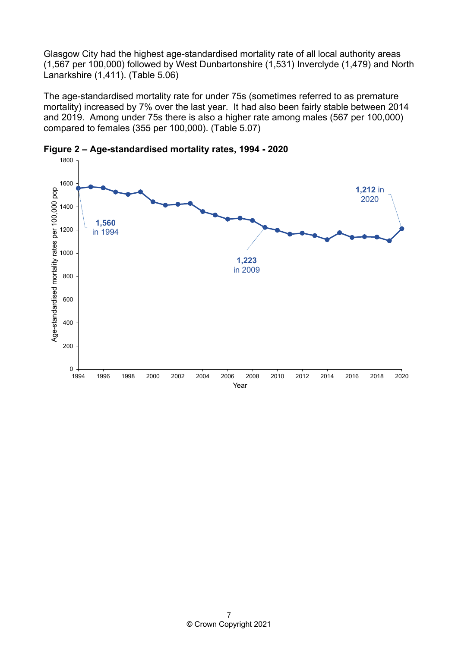Glasgow City had the highest age-standardised mortality rate of all local authority areas (1,567 per 100,000) followed by West Dunbartonshire (1,531) Inverclyde (1,479) and North Lanarkshire (1,411). (Table 5.06)

The age-standardised mortality rate for under 75s (sometimes referred to as premature mortality) increased by 7% over the last year. It had also been fairly stable between 2014 and 2019. Among under 75s there is also a higher rate among males (567 per 100,000) compared to females (355 per 100,000). (Table 5.07)

<span id="page-6-0"></span>

**Figure 2 – Age-standardised mortality rates, 1994 - 2020**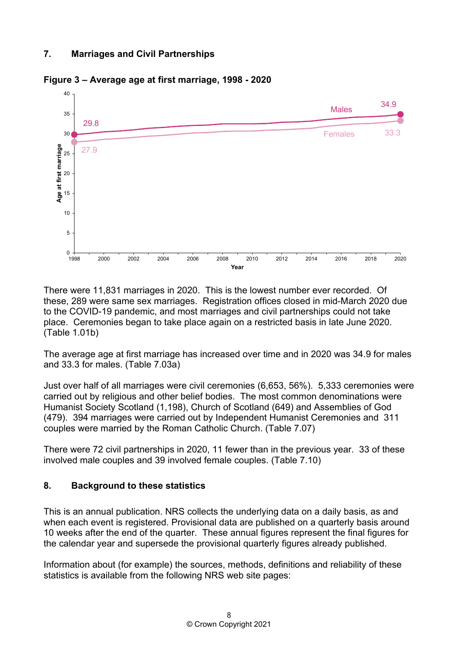#### **7. Marriages and Civil Partnerships**



**Figure 3 – Average age at first marriage, 1998 - 2020**

There were 11,831 marriages in 2020. This is the lowest number ever recorded. Of these, 289 were same sex marriages. Registration offices closed in mid-March 2020 due to the COVID-19 pandemic, and most marriages and civil partnerships could not take place. Ceremonies began to take place again on a restricted basis in late June 2020. (Table 1.01b)

The average age at first marriage has increased over time and in 2020 was 34.9 for males and 33.3 for males. (Table 7.03a)

Just over half of all marriages were civil ceremonies (6,653, 56%). 5,333 ceremonies were carried out by religious and other belief bodies. The most common denominations were Humanist Society Scotland (1,198), Church of Scotland (649) and Assemblies of God (479). 394 marriages were carried out by Independent Humanist Ceremonies and 311 couples were married by the Roman Catholic Church. (Table 7.07)

There were 72 civil partnerships in 2020, 11 fewer than in the previous year. 33 of these involved male couples and 39 involved female couples. (Table 7.10)

#### <span id="page-7-0"></span>**8. Background to these statistics**

This is an annual publication. NRS collects the underlying data on a daily basis, as and when each event is registered. Provisional data are published on a quarterly basis around 10 weeks after the end of the quarter. These annual figures represent the final figures for the calendar year and supersede the provisional quarterly figures already published.

Information about (for example) the sources, methods, definitions and reliability of these statistics is available from the following NRS web site pages: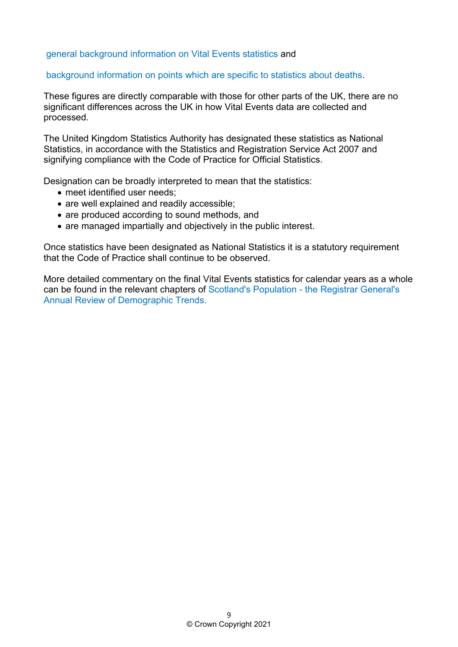#### [general background information on Vital Events statistics](https://www.nrscotland.gov.uk/statistics-and-data/statistics/statistics-by-theme/vital-events/general-background-information) and

#### [background information on points which are specific to statistics about deaths.](https://www.nrscotland.gov.uk/statistics-and-data/statistics/statistics-by-theme/vital-events/deaths/deaths-background-information)

These figures are directly comparable with those for other parts of the UK, there are no significant differences across the UK in how Vital Events data are collected and processed.

The United Kingdom Statistics Authority has designated these statistics as National Statistics, in accordance with the Statistics and Registration Service Act 2007 and signifying compliance with the Code of Practice for Official Statistics.

Designation can be broadly interpreted to mean that the statistics:

- meet identified user needs;
- are well explained and readily accessible;
- are produced according to sound methods, and
- are managed impartially and objectively in the public interest.

Once statistics have been designated as National Statistics it is a statutory requirement that the Code of Practice shall continue to be observed.

More detailed commentary on the final Vital Events statistics for calendar years as a whole can be found in the relevant chapters of [Scotland's Population - the Registrar General's](https://www.nrscotland.gov.uk/statistics-and-data/statistics/stats-at-a-glance/registrar-generals-annual-review)  [Annual Review of Demographic Trends.](https://www.nrscotland.gov.uk/statistics-and-data/statistics/stats-at-a-glance/registrar-generals-annual-review)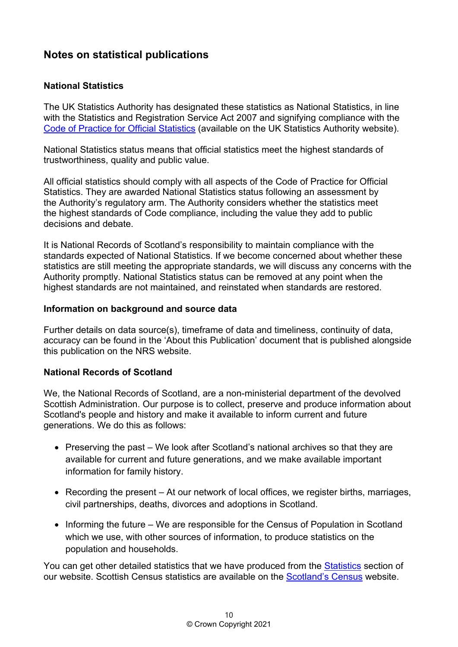# <span id="page-9-0"></span>**Notes on statistical publications**

#### **National Statistics**

The UK Statistics Authority has designated these statistics as National Statistics, in line with the Statistics and Registration Service Act 2007 and signifying compliance with the [Code of Practice for Official Statistics](https://www.statisticsauthority.gov.uk/monitoring-and-assessment/code-of-practice/) (available on the UK Statistics Authority website).

National Statistics status means that official statistics meet the highest standards of trustworthiness, quality and public value.

All official statistics should comply with all aspects of the Code of Practice for Official Statistics. They are awarded National Statistics status following an assessment by the Authority's regulatory arm. The Authority considers whether the statistics meet the highest standards of Code compliance, including the value they add to public decisions and debate.

It is National Records of Scotland's responsibility to maintain compliance with the standards expected of National Statistics. If we become concerned about whether these statistics are still meeting the appropriate standards, we will discuss any concerns with the Authority promptly. National Statistics status can be removed at any point when the highest standards are not maintained, and reinstated when standards are restored.

#### **Information on background and source data**

Further details on data source(s), timeframe of data and timeliness, continuity of data, accuracy can be found in the 'About this Publication' document that is published alongside this publication on the NRS website.

#### **National Records of Scotland**

We, the National Records of Scotland, are a non-ministerial department of the devolved Scottish Administration. Our purpose is to collect, preserve and produce information about Scotland's people and history and make it available to inform current and future generations. We do this as follows:

- Preserving the past We look after Scotland's national archives so that they are available for current and future generations, and we make available important information for family history.
- Recording the present At our network of local offices, we register births, marriages, civil partnerships, deaths, divorces and adoptions in Scotland.
- Informing the future We are responsible for the Census of Population in Scotland which we use, with other sources of information, to produce statistics on the population and households.

You can get other detailed statistics that we have produced from the [Statistics](http://www.nrscotland.gov.uk/statistics-and-data/statistics) section of our website. Scottish Census statistics are available on the [Scotland's Census](http://www.scotlandscensus.gov.uk/en/) website.